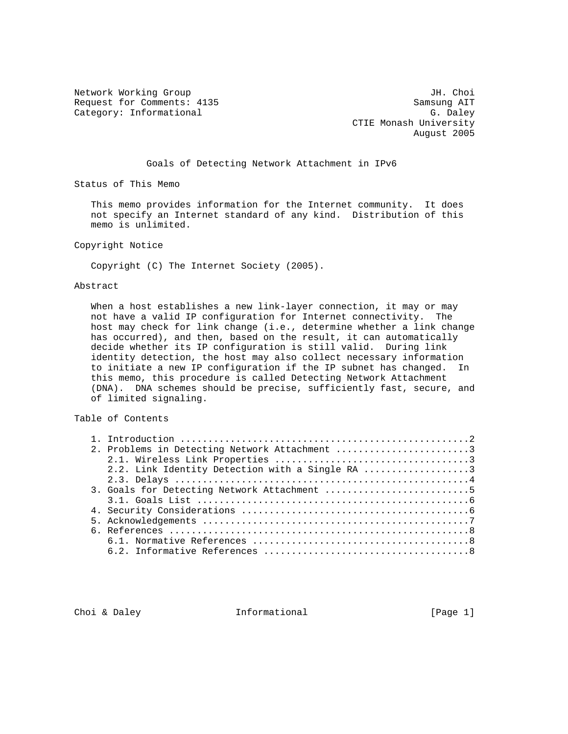Network Working Group 30 and 1999 and 1999 and 1999 and 1999 and 1999 and 1999 and 1999 and 1999 and 1999 and 1 Request for Comments: 4135 Samsung AIT<br>
Category: Informational G. Daley Category: Informational

 CTIE Monash University August 2005

#### Goals of Detecting Network Attachment in IPv6

Status of This Memo

 This memo provides information for the Internet community. It does not specify an Internet standard of any kind. Distribution of this memo is unlimited.

Copyright Notice

Copyright (C) The Internet Society (2005).

#### Abstract

 When a host establishes a new link-layer connection, it may or may not have a valid IP configuration for Internet connectivity. The host may check for link change (i.e., determine whether a link change has occurred), and then, based on the result, it can automatically decide whether its IP configuration is still valid. During link identity detection, the host may also collect necessary information to initiate a new IP configuration if the IP subnet has changed. In this memo, this procedure is called Detecting Network Attachment (DNA). DNA schemes should be precise, sufficiently fast, secure, and of limited signaling.

# Table of Contents

|  | 2. Problems in Detecting Network Attachment 3   |
|--|-------------------------------------------------|
|  |                                                 |
|  | 2.2. Link Identity Detection with a Single RA 3 |
|  |                                                 |
|  | 3. Goals for Detecting Network Attachment 5     |
|  |                                                 |
|  |                                                 |
|  |                                                 |
|  |                                                 |
|  |                                                 |
|  |                                                 |

Choi & Daley **Informational** [Page 1]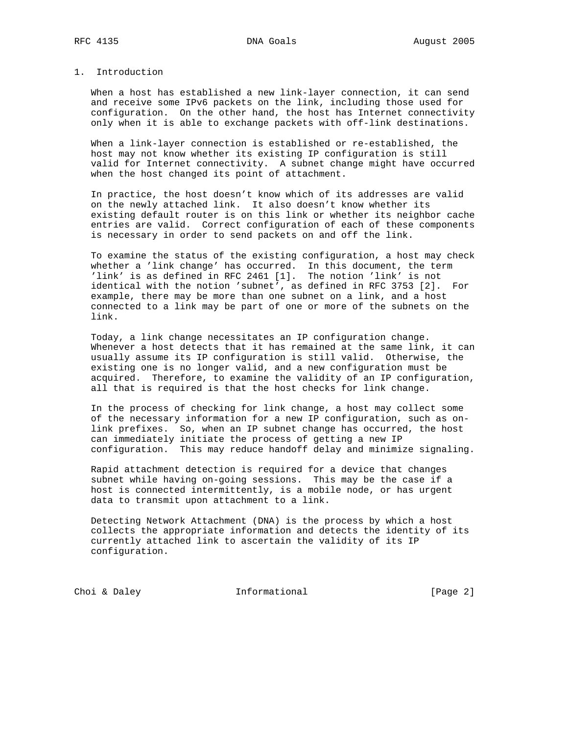## 1. Introduction

 When a host has established a new link-layer connection, it can send and receive some IPv6 packets on the link, including those used for configuration. On the other hand, the host has Internet connectivity only when it is able to exchange packets with off-link destinations.

 When a link-layer connection is established or re-established, the host may not know whether its existing IP configuration is still valid for Internet connectivity. A subnet change might have occurred when the host changed its point of attachment.

 In practice, the host doesn't know which of its addresses are valid on the newly attached link. It also doesn't know whether its existing default router is on this link or whether its neighbor cache entries are valid. Correct configuration of each of these components is necessary in order to send packets on and off the link.

 To examine the status of the existing configuration, a host may check whether a 'link change' has occurred. In this document, the term 'link' is as defined in RFC 2461 [1]. The notion 'link' is not identical with the notion 'subnet', as defined in RFC 3753 [2]. For example, there may be more than one subnet on a link, and a host connected to a link may be part of one or more of the subnets on the link.

 Today, a link change necessitates an IP configuration change. Whenever a host detects that it has remained at the same link, it can usually assume its IP configuration is still valid. Otherwise, the existing one is no longer valid, and a new configuration must be acquired. Therefore, to examine the validity of an IP configuration, all that is required is that the host checks for link change.

 In the process of checking for link change, a host may collect some of the necessary information for a new IP configuration, such as on link prefixes. So, when an IP subnet change has occurred, the host can immediately initiate the process of getting a new IP configuration. This may reduce handoff delay and minimize signaling.

 Rapid attachment detection is required for a device that changes subnet while having on-going sessions. This may be the case if a host is connected intermittently, is a mobile node, or has urgent data to transmit upon attachment to a link.

 Detecting Network Attachment (DNA) is the process by which a host collects the appropriate information and detects the identity of its currently attached link to ascertain the validity of its IP configuration.

Choi & Daley **Informational** [Page 2]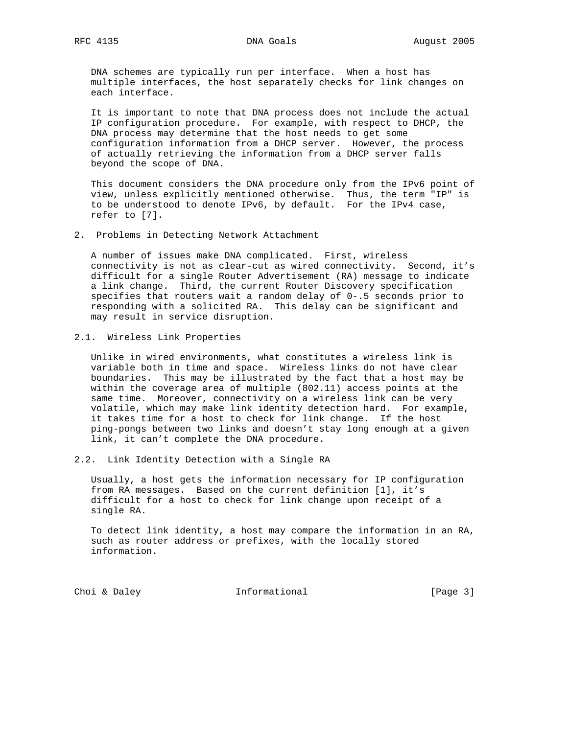DNA schemes are typically run per interface. When a host has multiple interfaces, the host separately checks for link changes on each interface.

 It is important to note that DNA process does not include the actual IP configuration procedure. For example, with respect to DHCP, the DNA process may determine that the host needs to get some configuration information from a DHCP server. However, the process of actually retrieving the information from a DHCP server falls beyond the scope of DNA.

 This document considers the DNA procedure only from the IPv6 point of view, unless explicitly mentioned otherwise. Thus, the term "IP" is to be understood to denote IPv6, by default. For the IPv4 case, refer to [7].

2. Problems in Detecting Network Attachment

 A number of issues make DNA complicated. First, wireless connectivity is not as clear-cut as wired connectivity. Second, it's difficult for a single Router Advertisement (RA) message to indicate a link change. Third, the current Router Discovery specification specifies that routers wait a random delay of 0-.5 seconds prior to responding with a solicited RA. This delay can be significant and may result in service disruption.

2.1. Wireless Link Properties

 Unlike in wired environments, what constitutes a wireless link is variable both in time and space. Wireless links do not have clear boundaries. This may be illustrated by the fact that a host may be within the coverage area of multiple (802.11) access points at the same time. Moreover, connectivity on a wireless link can be very volatile, which may make link identity detection hard. For example, it takes time for a host to check for link change. If the host ping-pongs between two links and doesn't stay long enough at a given link, it can't complete the DNA procedure.

2.2. Link Identity Detection with a Single RA

 Usually, a host gets the information necessary for IP configuration from RA messages. Based on the current definition [1], it's difficult for a host to check for link change upon receipt of a single RA.

 To detect link identity, a host may compare the information in an RA, such as router address or prefixes, with the locally stored information.

Choi & Daley **Informational** [Page 3]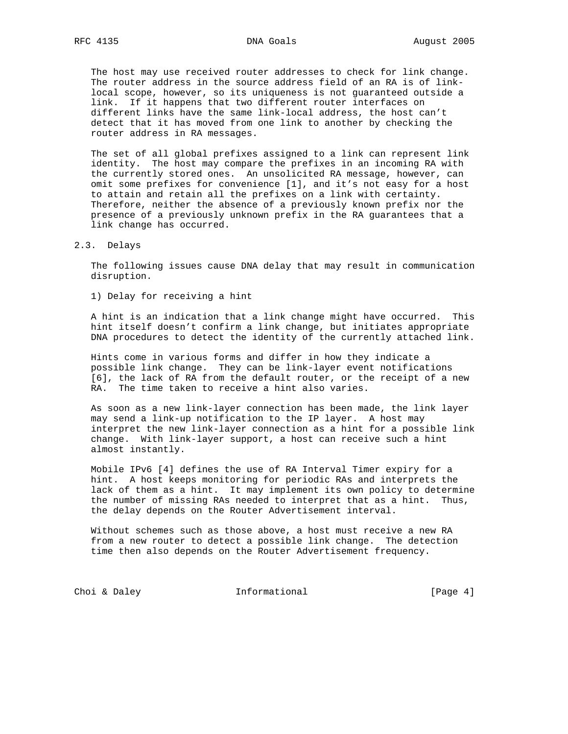The host may use received router addresses to check for link change. The router address in the source address field of an RA is of link-

 local scope, however, so its uniqueness is not guaranteed outside a link. If it happens that two different router interfaces on different links have the same link-local address, the host can't detect that it has moved from one link to another by checking the router address in RA messages.

 The set of all global prefixes assigned to a link can represent link identity. The host may compare the prefixes in an incoming RA with the currently stored ones. An unsolicited RA message, however, can omit some prefixes for convenience [1], and it's not easy for a host to attain and retain all the prefixes on a link with certainty. Therefore, neither the absence of a previously known prefix nor the presence of a previously unknown prefix in the RA guarantees that a link change has occurred.

2.3. Delays

 The following issues cause DNA delay that may result in communication disruption.

1) Delay for receiving a hint

 A hint is an indication that a link change might have occurred. This hint itself doesn't confirm a link change, but initiates appropriate DNA procedures to detect the identity of the currently attached link.

 Hints come in various forms and differ in how they indicate a possible link change. They can be link-layer event notifications [6], the lack of RA from the default router, or the receipt of a new RA. The time taken to receive a hint also varies.

 As soon as a new link-layer connection has been made, the link layer may send a link-up notification to the IP layer. A host may interpret the new link-layer connection as a hint for a possible link change. With link-layer support, a host can receive such a hint almost instantly.

 Mobile IPv6 [4] defines the use of RA Interval Timer expiry for a hint. A host keeps monitoring for periodic RAs and interprets the lack of them as a hint. It may implement its own policy to determine the number of missing RAs needed to interpret that as a hint. Thus, the delay depends on the Router Advertisement interval.

 Without schemes such as those above, a host must receive a new RA from a new router to detect a possible link change. The detection time then also depends on the Router Advertisement frequency.

Choi & Daley **Informational** [Page 4]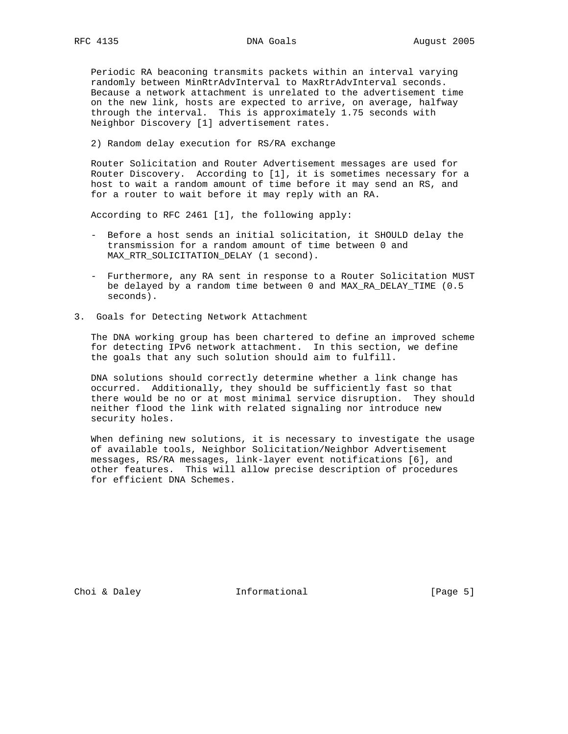Periodic RA beaconing transmits packets within an interval varying randomly between MinRtrAdvInterval to MaxRtrAdvInterval seconds. Because a network attachment is unrelated to the advertisement time on the new link, hosts are expected to arrive, on average, halfway through the interval. This is approximately 1.75 seconds with Neighbor Discovery [1] advertisement rates.

2) Random delay execution for RS/RA exchange

 Router Solicitation and Router Advertisement messages are used for Router Discovery. According to [1], it is sometimes necessary for a host to wait a random amount of time before it may send an RS, and for a router to wait before it may reply with an RA.

According to RFC 2461 [1], the following apply:

- Before a host sends an initial solicitation, it SHOULD delay the transmission for a random amount of time between 0 and MAX\_RTR\_SOLICITATION\_DELAY (1 second).
- Furthermore, any RA sent in response to a Router Solicitation MUST be delayed by a random time between 0 and MAX\_RA\_DELAY\_TIME (0.5 seconds).
- 3. Goals for Detecting Network Attachment

 The DNA working group has been chartered to define an improved scheme for detecting IPv6 network attachment. In this section, we define the goals that any such solution should aim to fulfill.

 DNA solutions should correctly determine whether a link change has occurred. Additionally, they should be sufficiently fast so that there would be no or at most minimal service disruption. They should neither flood the link with related signaling nor introduce new security holes.

 When defining new solutions, it is necessary to investigate the usage of available tools, Neighbor Solicitation/Neighbor Advertisement messages, RS/RA messages, link-layer event notifications [6], and other features. This will allow precise description of procedures for efficient DNA Schemes.

Choi & Daley **Informational** [Page 5]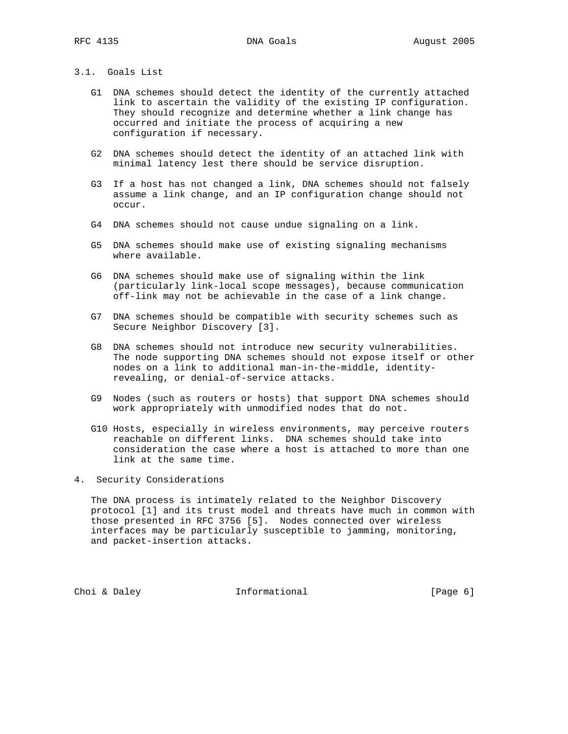## 3.1. Goals List

- G1 DNA schemes should detect the identity of the currently attached link to ascertain the validity of the existing IP configuration. They should recognize and determine whether a link change has occurred and initiate the process of acquiring a new configuration if necessary.
- G2 DNA schemes should detect the identity of an attached link with minimal latency lest there should be service disruption.
- G3 If a host has not changed a link, DNA schemes should not falsely assume a link change, and an IP configuration change should not occur.
- G4 DNA schemes should not cause undue signaling on a link.
- G5 DNA schemes should make use of existing signaling mechanisms where available.
- G6 DNA schemes should make use of signaling within the link (particularly link-local scope messages), because communication off-link may not be achievable in the case of a link change.
- G7 DNA schemes should be compatible with security schemes such as Secure Neighbor Discovery [3].
- G8 DNA schemes should not introduce new security vulnerabilities. The node supporting DNA schemes should not expose itself or other nodes on a link to additional man-in-the-middle, identity revealing, or denial-of-service attacks.
- G9 Nodes (such as routers or hosts) that support DNA schemes should work appropriately with unmodified nodes that do not.
- G10 Hosts, especially in wireless environments, may perceive routers reachable on different links. DNA schemes should take into consideration the case where a host is attached to more than one link at the same time.
- 4. Security Considerations

 The DNA process is intimately related to the Neighbor Discovery protocol [1] and its trust model and threats have much in common with those presented in RFC 3756 [5]. Nodes connected over wireless interfaces may be particularly susceptible to jamming, monitoring, and packet-insertion attacks.

Choi & Daley **Informational** [Page 6]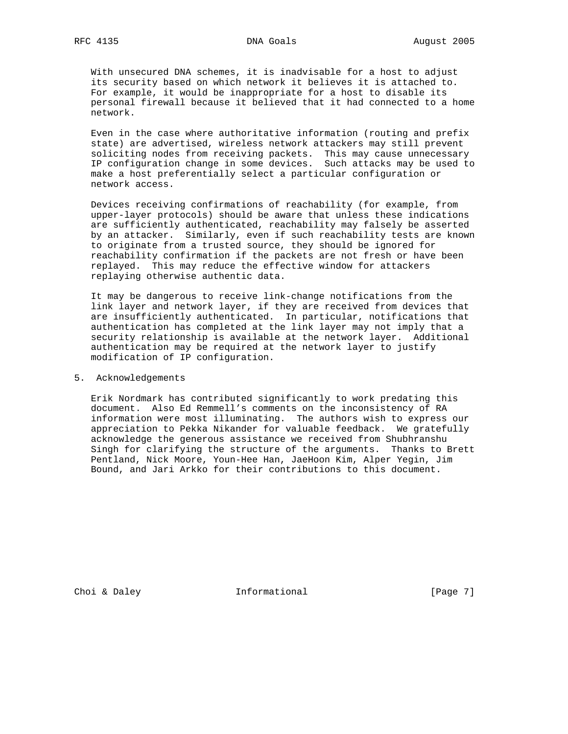With unsecured DNA schemes, it is inadvisable for a host to adjust its security based on which network it believes it is attached to. For example, it would be inappropriate for a host to disable its personal firewall because it believed that it had connected to a home network.

 Even in the case where authoritative information (routing and prefix state) are advertised, wireless network attackers may still prevent soliciting nodes from receiving packets. This may cause unnecessary IP configuration change in some devices. Such attacks may be used to make a host preferentially select a particular configuration or network access.

 Devices receiving confirmations of reachability (for example, from upper-layer protocols) should be aware that unless these indications are sufficiently authenticated, reachability may falsely be asserted by an attacker. Similarly, even if such reachability tests are known to originate from a trusted source, they should be ignored for reachability confirmation if the packets are not fresh or have been replayed. This may reduce the effective window for attackers replaying otherwise authentic data.

 It may be dangerous to receive link-change notifications from the link layer and network layer, if they are received from devices that are insufficiently authenticated. In particular, notifications that authentication has completed at the link layer may not imply that a security relationship is available at the network layer. Additional authentication may be required at the network layer to justify modification of IP configuration.

5. Acknowledgements

 Erik Nordmark has contributed significantly to work predating this document. Also Ed Remmell's comments on the inconsistency of RA information were most illuminating. The authors wish to express our appreciation to Pekka Nikander for valuable feedback. We gratefully acknowledge the generous assistance we received from Shubhranshu Singh for clarifying the structure of the arguments. Thanks to Brett Pentland, Nick Moore, Youn-Hee Han, JaeHoon Kim, Alper Yegin, Jim Bound, and Jari Arkko for their contributions to this document.

Choi & Daley **Informational** [Page 7]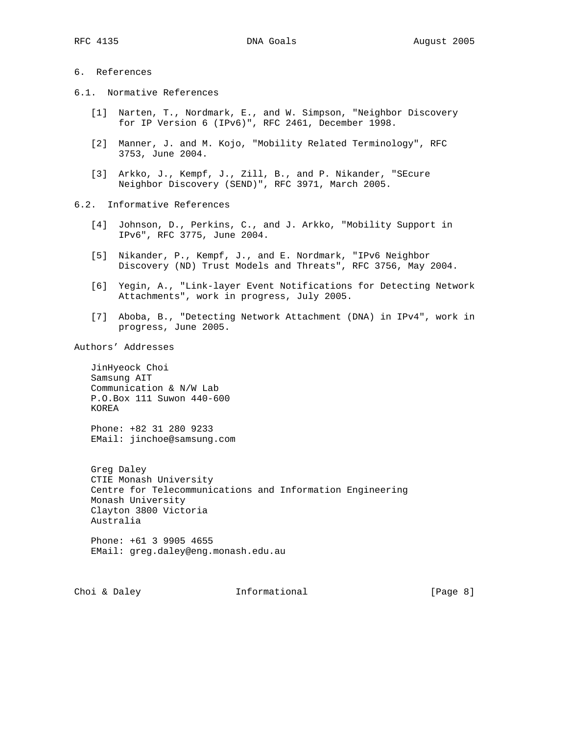## 6. References

- 6.1. Normative References
	- [1] Narten, T., Nordmark, E., and W. Simpson, "Neighbor Discovery for IP Version 6 (IPv6)", RFC 2461, December 1998.
	- [2] Manner, J. and M. Kojo, "Mobility Related Terminology", RFC 3753, June 2004.
	- [3] Arkko, J., Kempf, J., Zill, B., and P. Nikander, "SEcure Neighbor Discovery (SEND)", RFC 3971, March 2005.
- 6.2. Informative References
	- [4] Johnson, D., Perkins, C., and J. Arkko, "Mobility Support in IPv6", RFC 3775, June 2004.
	- [5] Nikander, P., Kempf, J., and E. Nordmark, "IPv6 Neighbor Discovery (ND) Trust Models and Threats", RFC 3756, May 2004.
	- [6] Yegin, A., "Link-layer Event Notifications for Detecting Network Attachments", work in progress, July 2005.
	- [7] Aboba, B., "Detecting Network Attachment (DNA) in IPv4", work in progress, June 2005.

Authors' Addresses

 JinHyeock Choi Samsung AIT Communication & N/W Lab P.O.Box 111 Suwon 440-600 KOREA

 Phone: +82 31 280 9233 EMail: jinchoe@samsung.com

 Greg Daley CTIE Monash University Centre for Telecommunications and Information Engineering Monash University Clayton 3800 Victoria Australia

 Phone: +61 3 9905 4655 EMail: greg.daley@eng.monash.edu.au

Choi & Daley **Informational** [Page 8]